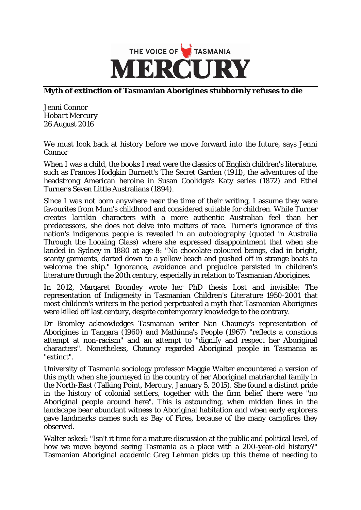

## **Myth of extinction of Tasmanian Aborigines stubbornly refuses to die**

Jenni Connor *Hobart Mercury*  26 August 2016

We must look back at history before we move forward into the future, says Jenni Connor

When I was a child, the books I read were the classics of English children's literature, such as Frances Hodgkin Burnett's The Secret Garden (1911), the adventures of the headstrong American heroine in Susan Coolidge's Katy series (1872) and Ethel Turner's Seven Little Australians (1894).

Since I was not born anywhere near the time of their writing, I assume they were favourites from Mum's childhood and considered suitable for children. While Turner creates larrikin characters with a more authentic Australian feel than her predecessors, she does not delve into matters of race. Turner's ignorance of this nation's indigenous people is revealed in an autobiography (quoted in Australia Through the Looking Glass) where she expressed disappointment that when she landed in Sydney in 1880 at age 8: "No chocolate-coloured beings, clad in bright, scanty garments, darted down to a yellow beach and pushed off in strange boats to welcome the ship." Ignorance, avoidance and prejudice persisted in children's literature through the 20th century, especially in relation to Tasmanian Aborigines.

In 2012, Margaret Bromley wrote her PhD thesis Lost and invisible: The representation of Indigeneity in Tasmanian Children's Literature 1950-2001 that most children's writers in the period perpetuated a myth that Tasmanian Aborigines were killed off last century, despite contemporary knowledge to the contrary.

Dr Bromley acknowledges Tasmanian writer Nan Chauncy's representation of Aborigines in Tangara (1960) and Mathinna's People (1967) "reflects a conscious attempt at non-racism" and an attempt to "dignify and respect her Aboriginal characters". Nonetheless, Chauncy regarded Aboriginal people in Tasmania as "extinct".

University of Tasmania sociology professor Maggie Walter encountered a version of this myth when she journeyed in the country of her Aboriginal matriarchal family in the North-East (Talking Point, Mercury, January 5, 2015). She found a distinct pride in the history of colonial settlers, together with the firm belief there were "no Aboriginal people around here". This is astounding, when midden lines in the landscape bear abundant witness to Aboriginal habitation and when early explorers gave landmarks names such as Bay of Fires, because of the many campfires they observed.

Walter asked: "Isn't it time for a mature discussion at the public and political level, of how we move beyond seeing Tasmania as a place with a 200-year-old history?" Tasmanian Aboriginal academic Greg Lehman picks up this theme of needing to